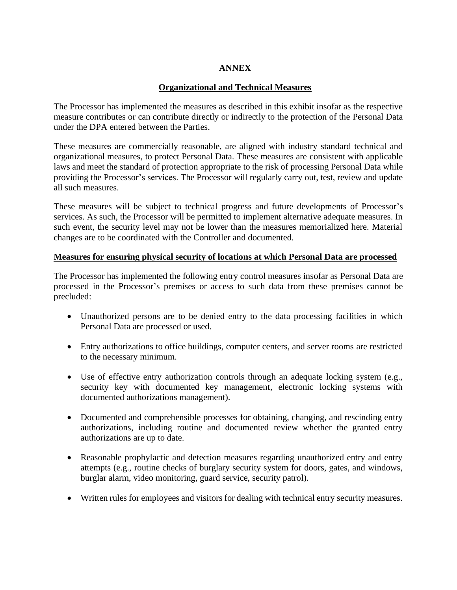## **ANNEX**

## **Organizational and Technical Measures**

The Processor has implemented the measures as described in this exhibit insofar as the respective measure contributes or can contribute directly or indirectly to the protection of the Personal Data under the DPA entered between the Parties.

These measures are commercially reasonable, are aligned with industry standard technical and organizational measures, to protect Personal Data. These measures are consistent with applicable laws and meet the standard of protection appropriate to the risk of processing Personal Data while providing the Processor's services. The Processor will regularly carry out, test, review and update all such measures.

These measures will be subject to technical progress and future developments of Processor's services. As such, the Processor will be permitted to implement alternative adequate measures. In such event, the security level may not be lower than the measures memorialized here. Material changes are to be coordinated with the Controller and documented.

### **Measures for ensuring physical security of locations at which Personal Data are processed**

The Processor has implemented the following entry control measures insofar as Personal Data are processed in the Processor's premises or access to such data from these premises cannot be precluded:

- Unauthorized persons are to be denied entry to the data processing facilities in which Personal Data are processed or used.
- Entry authorizations to office buildings, computer centers, and server rooms are restricted to the necessary minimum.
- Use of effective entry authorization controls through an adequate locking system (e.g., security key with documented key management, electronic locking systems with documented authorizations management).
- Documented and comprehensible processes for obtaining, changing, and rescinding entry authorizations, including routine and documented review whether the granted entry authorizations are up to date.
- Reasonable prophylactic and detection measures regarding unauthorized entry and entry attempts (e.g., routine checks of burglary security system for doors, gates, and windows, burglar alarm, video monitoring, guard service, security patrol).
- Written rules for employees and visitors for dealing with technical entry security measures.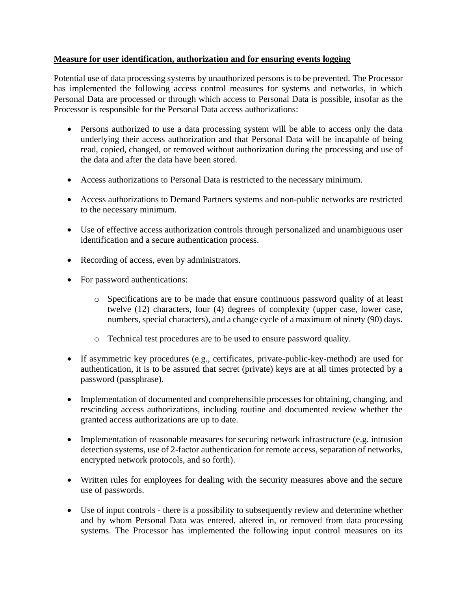### **Measure for user identification, authorization and for ensuring events logging**

Potential use of data processing systems by unauthorized persons is to be prevented. The Processor has implemented the following access control measures for systems and networks, in which Personal Data are processed or through which access to Personal Data is possible, insofar as the Processor is responsible for the Personal Data access authorizations:

- Persons authorized to use a data processing system will be able to access only the data underlying their access authorization and that Personal Data will be incapable of being read, copied, changed, or removed without authorization during the processing and use of the data and after the data have been stored.
- Access authorizations to Personal Data is restricted to the necessary minimum.
- Access authorizations to Demand Partners systems and non-public networks are restricted to the necessary minimum.
- Use of effective access authorization controls through personalized and unambiguous user identification and a secure authentication process.
- Recording of access, even by administrators.
- For password authentications:
	- o Specifications are to be made that ensure continuous password quality of at least twelve (12) characters, four (4) degrees of complexity (upper case, lower case, numbers, special characters), and a change cycle of a maximum of ninety (90) days.
	- o Technical test procedures are to be used to ensure password quality.
- If asymmetric key procedures (e.g., certificates, private-public-key-method) are used for authentication, it is to be assured that secret (private) keys are at all times protected by a password (passphrase).
- Implementation of documented and comprehensible processes for obtaining, changing, and rescinding access authorizations, including routine and documented review whether the granted access authorizations are up to date.
- Implementation of reasonable measures for securing network infrastructure (e.g. intrusion detection systems, use of 2-factor authentication for remote access, separation of networks, encrypted network protocols, and so forth).
- Written rules for employees for dealing with the security measures above and the secure use of passwords.
- Use of input controls there is a possibility to subsequently review and determine whether and by whom Personal Data was entered, altered in, or removed from data processing systems. The Processor has implemented the following input control measures on its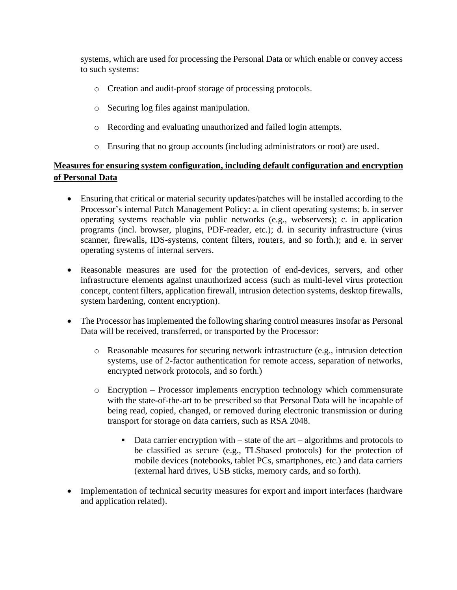systems, which are used for processing the Personal Data or which enable or convey access to such systems:

- o Creation and audit-proof storage of processing protocols.
- o Securing log files against manipulation.
- o Recording and evaluating unauthorized and failed login attempts.
- o Ensuring that no group accounts (including administrators or root) are used.

# **Measures for ensuring system configuration, including default configuration and encryption of Personal Data**

- Ensuring that critical or material security updates/patches will be installed according to the Processor's internal Patch Management Policy: a. in client operating systems; b. in server operating systems reachable via public networks (e.g., webservers); c. in application programs (incl. browser, plugins, PDF-reader, etc.); d. in security infrastructure (virus scanner, firewalls, IDS-systems, content filters, routers, and so forth.); and e. in server operating systems of internal servers.
- Reasonable measures are used for the protection of end-devices, servers, and other infrastructure elements against unauthorized access (such as multi-level virus protection concept, content filters, application firewall, intrusion detection systems, desktop firewalls, system hardening, content encryption).
- The Processor has implemented the following sharing control measures insofar as Personal Data will be received, transferred, or transported by the Processor:
	- o Reasonable measures for securing network infrastructure (e.g., intrusion detection systems, use of 2-factor authentication for remote access, separation of networks, encrypted network protocols, and so forth.)
	- o Encryption Processor implements encryption technology which commensurate with the state-of-the-art to be prescribed so that Personal Data will be incapable of being read, copied, changed, or removed during electronic transmission or during transport for storage on data carriers, such as RSA 2048.
		- $\blacksquare$  Data carrier encryption with state of the art algorithms and protocols to be classified as secure (e.g., TLSbased protocols) for the protection of mobile devices (notebooks, tablet PCs, smartphones, etc.) and data carriers (external hard drives, USB sticks, memory cards, and so forth).
- Implementation of technical security measures for export and import interfaces (hardware and application related).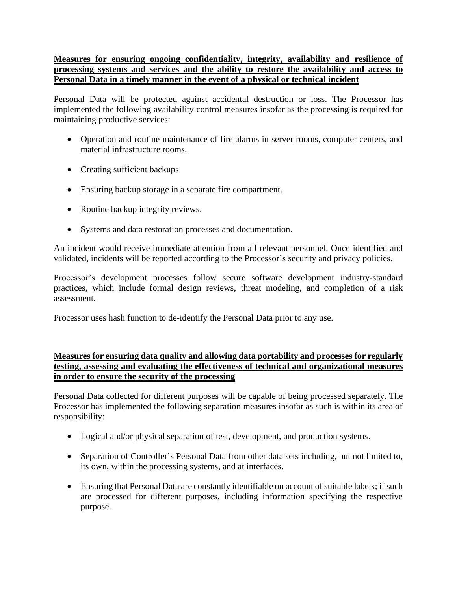# **Measures for ensuring ongoing confidentiality, integrity, availability and resilience of processing systems and services and the ability to restore the availability and access to Personal Data in a timely manner in the event of a physical or technical incident**

Personal Data will be protected against accidental destruction or loss. The Processor has implemented the following availability control measures insofar as the processing is required for maintaining productive services:

- Operation and routine maintenance of fire alarms in server rooms, computer centers, and material infrastructure rooms.
- Creating sufficient backups
- Ensuring backup storage in a separate fire compartment.
- Routine backup integrity reviews.
- Systems and data restoration processes and documentation.

An incident would receive immediate attention from all relevant personnel. Once identified and validated, incidents will be reported according to the Processor's security and privacy policies.

Processor's development processes follow secure software development industry-standard practices, which include formal design reviews, threat modeling, and completion of a risk assessment.

Processor uses hash function to de-identify the Personal Data prior to any use.

## **Measures for ensuring data quality and allowing data portability and processes for regularly testing, assessing and evaluating the effectiveness of technical and organizational measures in order to ensure the security of the processing**

Personal Data collected for different purposes will be capable of being processed separately. The Processor has implemented the following separation measures insofar as such is within its area of responsibility:

- Logical and/or physical separation of test, development, and production systems.
- Separation of Controller's Personal Data from other data sets including, but not limited to, its own, within the processing systems, and at interfaces.
- Ensuring that Personal Data are constantly identifiable on account of suitable labels; if such are processed for different purposes, including information specifying the respective purpose.